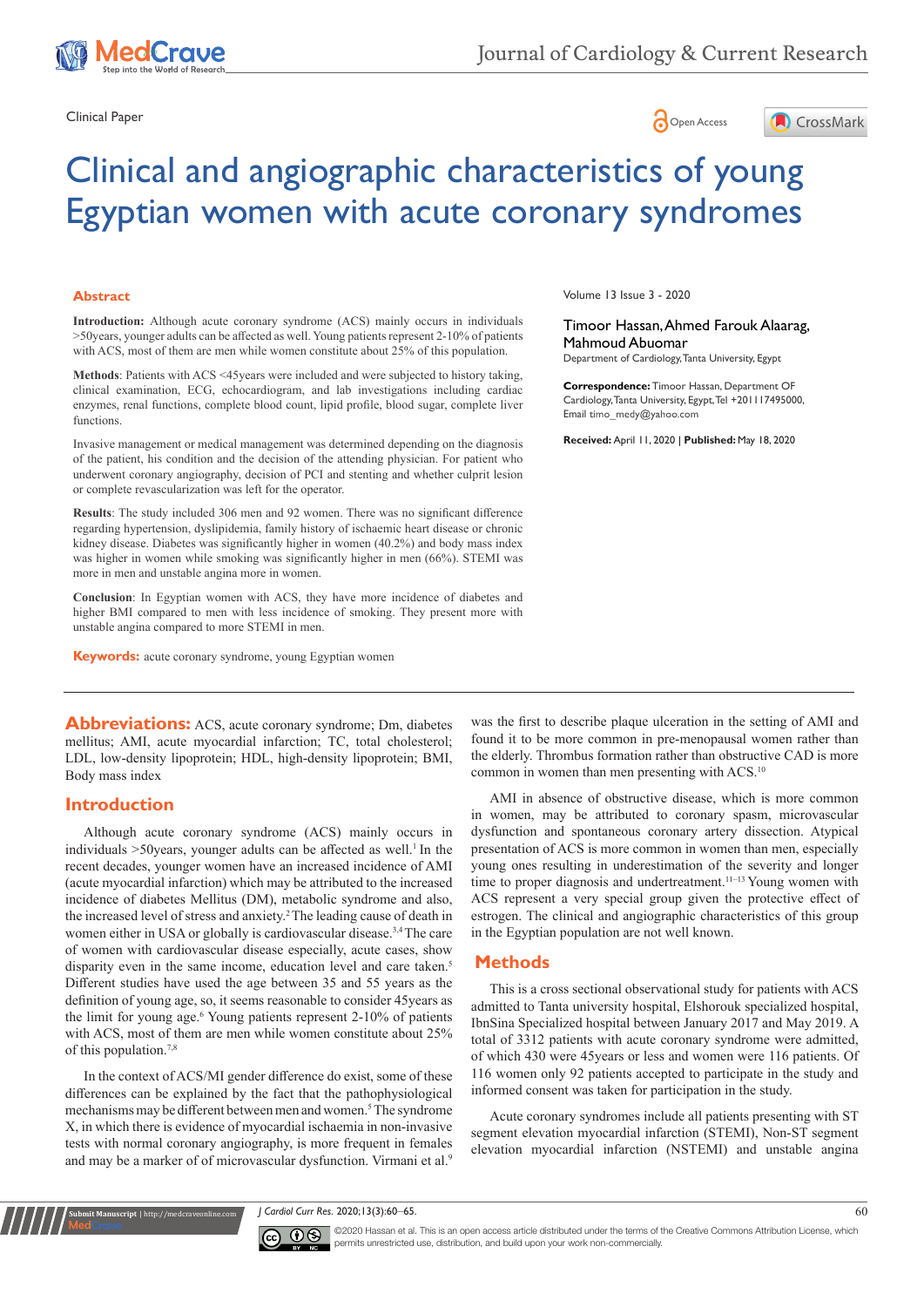





# Clinical and angiographic characteristics of young Egyptian women with acute coronary syndromes

#### **Abstract**

**Introduction:** Although acute coronary syndrome (ACS) mainly occurs in individuals >50years, younger adults can be affected as well. Young patients represent 2-10% of patients with ACS, most of them are men while women constitute about 25% of this population.

**Methods**: Patients with ACS <45years were included and were subjected to history taking, clinical examination, ECG, echocardiogram, and lab investigations including cardiac enzymes, renal functions, complete blood count, lipid profile, blood sugar, complete liver functions.

Invasive management or medical management was determined depending on the diagnosis of the patient, his condition and the decision of the attending physician. For patient who underwent coronary angiography, decision of PCI and stenting and whether culprit lesion or complete revascularization was left for the operator.

**Results**: The study included 306 men and 92 women. There was no significant difference regarding hypertension, dyslipidemia, family history of ischaemic heart disease or chronic kidney disease. Diabetes was significantly higher in women (40.2%) and body mass index was higher in women while smoking was significantly higher in men (66%). STEMI was more in men and unstable angina more in women.

**Conclusion**: In Egyptian women with ACS, they have more incidence of diabetes and higher BMI compared to men with less incidence of smoking. They present more with unstable angina compared to more STEMI in men.

**Keywords:** acute coronary syndrome, young Egyptian women

Abbreviations: ACS, acute coronary syndrome; Dm, diabetes mellitus; AMI, acute myocardial infarction; TC, total cholesterol; LDL, low-density lipoprotein; HDL, high-density lipoprotein; BMI, Body mass index

## **Introduction**

**it Manuscript** | http://medcraveonline.c

Although acute coronary syndrome (ACS) mainly occurs in individuals  $>50$ years, younger adults can be affected as well.<sup>1</sup> In the recent decades, younger women have an increased incidence of AMI (acute myocardial infarction) which may be attributed to the increased incidence of diabetes Mellitus (DM), metabolic syndrome and also, the increased level of stress and anxiety.<sup>2</sup> The leading cause of death in women either in USA or globally is cardiovascular disease.<sup>3,4</sup> The care of women with cardiovascular disease especially, acute cases, show disparity even in the same income, education level and care taken.<sup>5</sup> Different studies have used the age between 35 and 55 years as the definition of young age, so, it seems reasonable to consider 45years as the limit for young age.<sup>6</sup> Young patients represent 2-10% of patients with ACS, most of them are men while women constitute about 25% of this population.<sup>7,8</sup>

In the context of ACS/MI gender difference do exist, some of these differences can be explained by the fact that the pathophysiological mechanisms may be different between men and women.<sup>5</sup> The syndrome X, in which there is evidence of myocardial ischaemia in non-invasive tests with normal coronary angiography, is more frequent in females and may be a marker of of microvascular dysfunction. Virmani et al.<sup>9</sup>

Volume 13 Issue 3 - 2020

Timoor Hassan, Ahmed Farouk Alaarag, Mahmoud Abuomar

Department of Cardiology, Tanta University, Egypt

**Correspondence:** Timoor Hassan, Department OF Cardiology, Tanta University, Egypt, Tel +201117495000, Email timo\_medy@yahoo.com

**Received:** April 11, 2020 | **Published:** May 18, 2020

was the first to describe plaque ulceration in the setting of AMI and found it to be more common in pre-menopausal women rather than the elderly. Thrombus formation rather than obstructive CAD is more common in women than men presenting with ACS.<sup>10</sup>

AMI in absence of obstructive disease, which is more common in women, may be attributed to coronary spasm, microvascular dysfunction and spontaneous coronary artery dissection. Atypical presentation of ACS is more common in women than men, especially young ones resulting in underestimation of the severity and longer time to proper diagnosis and undertreatment.<sup>11-13</sup> Young women with ACS represent a very special group given the protective effect of estrogen. The clinical and angiographic characteristics of this group in the Egyptian population are not well known.

#### **Methods**

This is a cross sectional observational study for patients with ACS admitted to Tanta university hospital, Elshorouk specialized hospital, IbnSina Specialized hospital between January 2017 and May 2019. A total of 3312 patients with acute coronary syndrome were admitted, of which 430 were 45years or less and women were 116 patients. Of 116 women only 92 patients accepted to participate in the study and informed consent was taken for participation in the study.

Acute coronary syndromes include all patients presenting with ST segment elevation myocardial infarction (STEMI), Non-ST segment elevation myocardial infarction (NSTEMI) and unstable angina

*J Cardiol Curr Res.* 2020;13(3):60‒65. 60



©2020 Hassan et al. This is an open access article distributed under the terms of the [Creative Commons Attribution License,](https://creativecommons.org/licenses/by-nc/4.0/) which permits unrestricted use, distribution, and build upon your work non-commercially.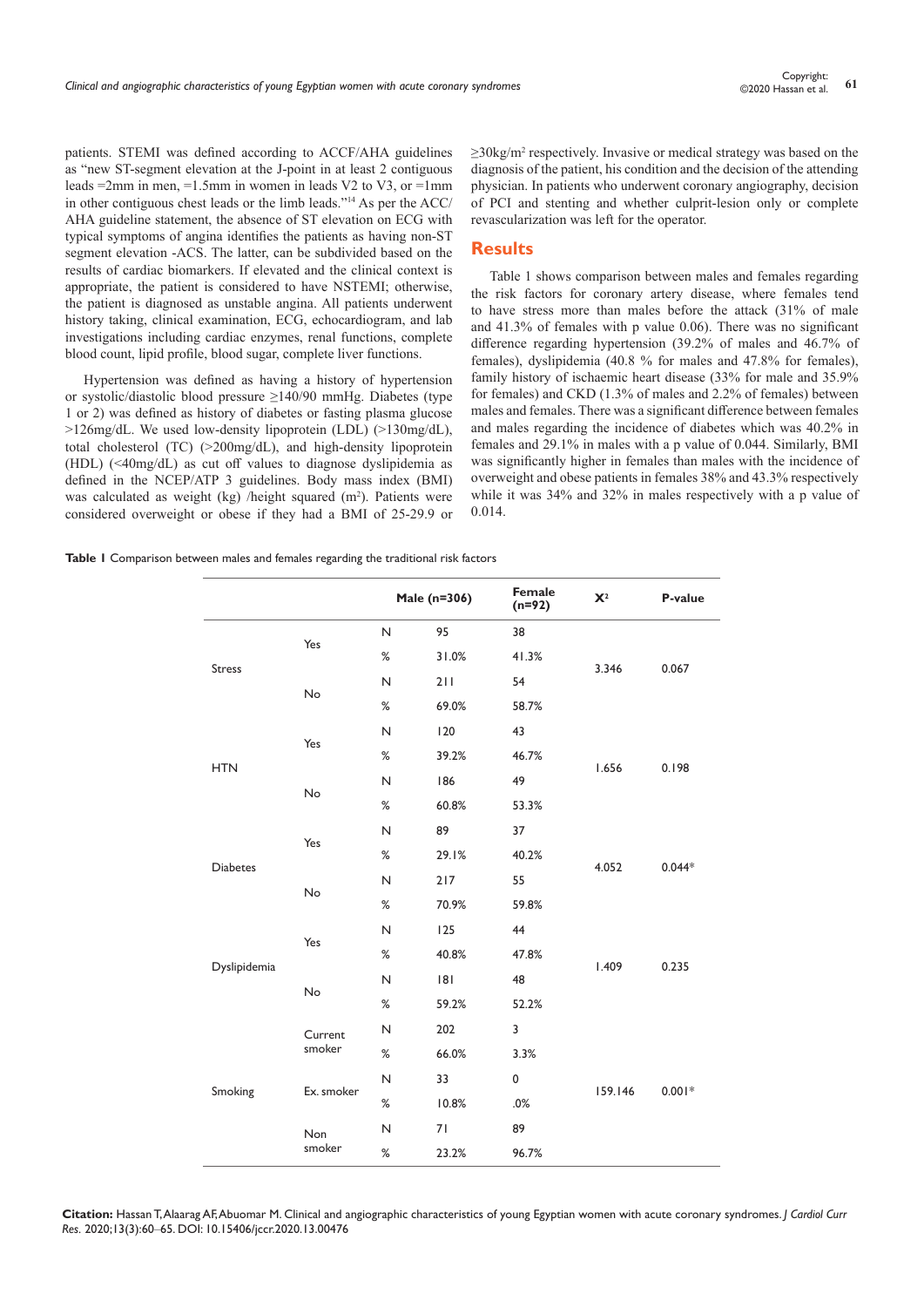patients. STEMI was defined according to ACCF/AHA guidelines as "new ST-segment elevation at the J-point in at least 2 contiguous leads  $=2$ mm in men,  $=1.5$ mm in women in leads V2 to V3, or  $=1$ mm in other contiguous chest leads or the limb leads."14 As per the ACC/ AHA guideline statement, the absence of ST elevation on ECG with typical symptoms of angina identifies the patients as having non-ST segment elevation -ACS. The latter, can be subdivided based on the results of cardiac biomarkers. If elevated and the clinical context is appropriate, the patient is considered to have NSTEMI; otherwise, the patient is diagnosed as unstable angina. All patients underwent history taking, clinical examination, ECG, echocardiogram, and lab investigations including cardiac enzymes, renal functions, complete blood count, lipid profile, blood sugar, complete liver functions.

Hypertension was defined as having a history of hypertension or systolic/diastolic blood pressure ≥140/90 mmHg. Diabetes (type 1 or 2) was defined as history of diabetes or fasting plasma glucose >126mg/dL. We used low-density lipoprotein (LDL) (>130mg/dL), total cholesterol (TC) (>200mg/dL), and high-density lipoprotein (HDL) (<40mg/dL) as cut off values to diagnose dyslipidemia as defined in the NCEP/ATP 3 guidelines. Body mass index (BMI) was calculated as weight (kg) /height squared  $(m<sup>2</sup>)$ . Patients were considered overweight or obese if they had a BMI of 25-29.9 or ≥30kg/m<sup>2</sup> respectively. Invasive or medical strategy was based on the diagnosis of the patient, his condition and the decision of the attending physician. In patients who underwent coronary angiography, decision of PCI and stenting and whether culprit-lesion only or complete revascularization was left for the operator.

#### **Results**

Table 1 shows comparison between males and females regarding the risk factors for coronary artery disease, where females tend to have stress more than males before the attack (31% of male and 41.3% of females with p value 0.06). There was no significant difference regarding hypertension (39.2% of males and 46.7% of females), dyslipidemia (40.8 % for males and 47.8% for females), family history of ischaemic heart disease (33% for male and 35.9% for females) and CKD (1.3% of males and 2.2% of females) between males and females. There was a significant difference between females and males regarding the incidence of diabetes which was 40.2% in females and 29.1% in males with a p value of 0.044. Similarly, BMI was significantly higher in females than males with the incidence of overweight and obese patients in females 38% and 43.3% respectively while it was 34% and 32% in males respectively with a p value of 0.014.

**Table 1** Comparison between males and females regarding the traditional risk factors

|                 |                      |              | Male (n=306) | Female<br>$(n=92)$ | $\mathbf{X}^2$ | P-value  |
|-----------------|----------------------|--------------|--------------|--------------------|----------------|----------|
| <b>Stress</b>   | Yes                  | N            | 95           | 38                 |                |          |
|                 |                      | %            | 31.0%        | 41.3%              | 3.346          | 0.067    |
|                 | No                   | N            | 211          | 54                 |                |          |
|                 |                      | $\%$         | 69.0%        | 58.7%              |                |          |
|                 | Yes                  | $\mathsf{N}$ | 120          | 43                 |                |          |
| <b>HTN</b>      |                      | $\%$         | 39.2%        | 46.7%              | 1.656          | 0.198    |
|                 | No                   | $\mathsf{N}$ | 186          | 49                 |                |          |
|                 |                      | %            | 60.8%        | 53.3%              |                |          |
|                 | Yes                  | N            | 89           | 37                 |                |          |
| <b>Diabetes</b> |                      | $\%$         | 29.1%        | 40.2%              | 4.052          | $0.044*$ |
|                 | No                   | $\mathsf{N}$ | 217          | 55                 |                |          |
|                 |                      | $\%$         | 70.9%        | 59.8%              |                |          |
|                 | Yes                  | N            | 125          | 44                 |                |          |
| Dyslipidemia    |                      | %            | 40.8%        | 47.8%              | 1.409          | 0.235    |
|                 | No                   | N            | 8            | 48                 |                |          |
|                 |                      | %            | 59.2%        | 52.2%              |                |          |
|                 | Current              | $\mathsf{N}$ | 202          | 3                  |                |          |
|                 | smoker               | %            | 66.0%        | 3.3%               |                |          |
|                 | Ex. smoker           | $\mathsf{N}$ | 33           | $\pmb{0}$          | 159.146        | $0.001*$ |
| Smoking         |                      | %            | 10.8%        | .0%                |                |          |
|                 | <b>Non</b><br>smoker | $\mathsf{N}$ | 71           | 89                 |                |          |
|                 |                      | $\%$         | 23.2%        | 96.7%              |                |          |

**Citation:** Hassan T, Alaarag AF, Abuomar M. Clinical and angiographic characteristics of young Egyptian women with acute coronary syndromes. *J Cardiol Curr Res.* 2020;13(3):60‒65. DOI: [10.15406/jccr.2020.13.00476](https://doi.org/10.15406/jccr.2020.13.00476)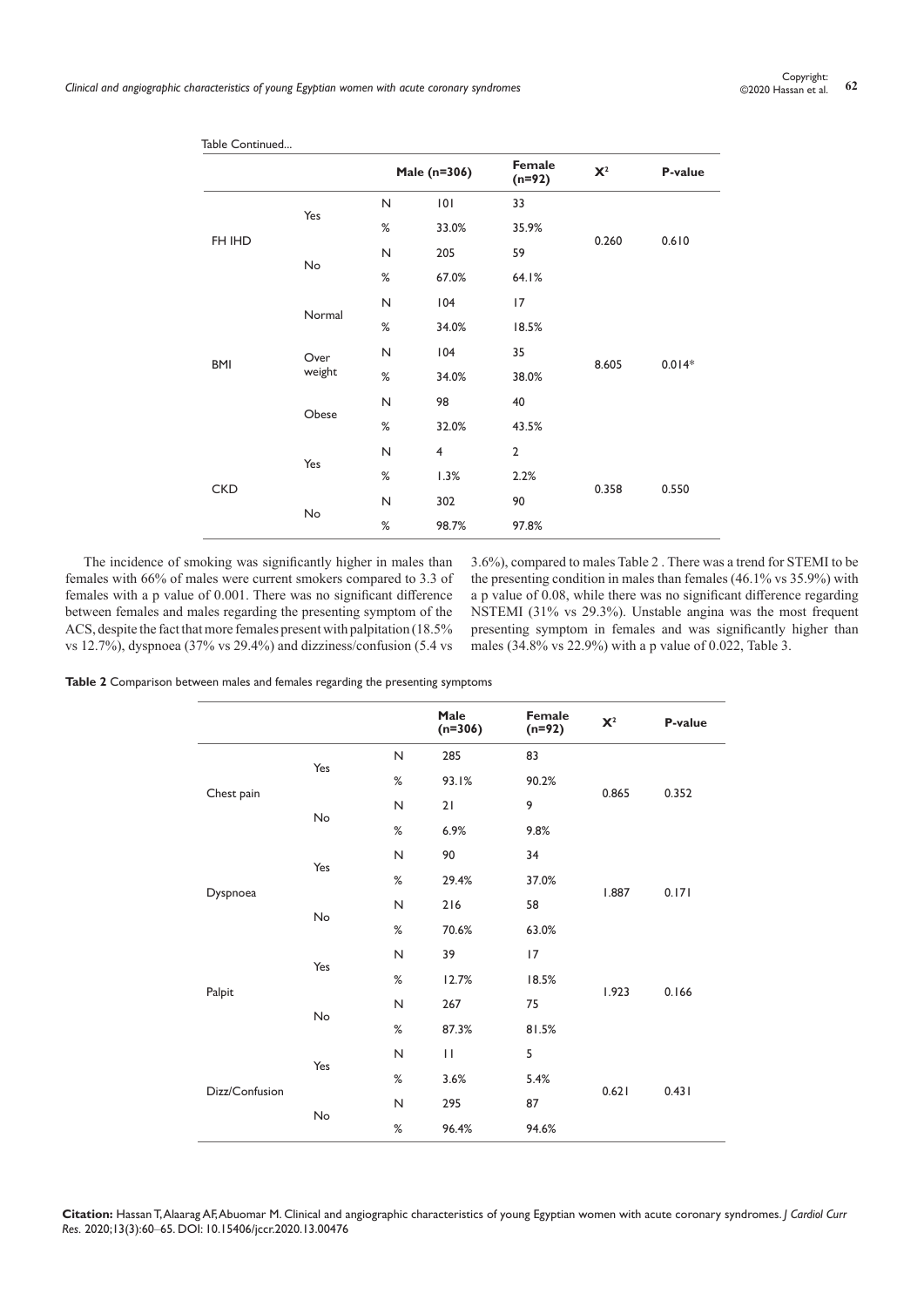|            |                | Male (n=306) |                | Female<br>$(n=92)$ | $\mathbf{X}^2$ | P-value  |
|------------|----------------|--------------|----------------|--------------------|----------------|----------|
| FH IHD     | Yes            | $\mathsf{N}$ | 101            | 33                 |                | 0.610    |
|            |                | $\%$         | 33.0%          | 35.9%              | 0.260          |          |
|            | No             | $\mathsf{N}$ | 205            | 59                 |                |          |
|            |                | %            | 67.0%          | 64.1%              |                |          |
|            | Normal         | $\mathsf{N}$ | 104            | 17                 |                | $0.014*$ |
|            |                | $\%$         | 34.0%          | 18.5%              | 8.605          |          |
| <b>BMI</b> | Over<br>weight | $\mathsf{N}$ | 104            | 35                 |                |          |
|            |                | $\%$         | 34.0%          | 38.0%              |                |          |
|            | Obese          | $\mathsf{N}$ | 98             | 40                 |                |          |
|            |                | $\%$         | 32.0%          | 43.5%              |                |          |
|            | Yes            | $\mathsf{N}$ | $\overline{4}$ | $\overline{2}$     |                |          |
| <b>CKD</b> |                | %            | 1.3%           | 2.2%               |                |          |
|            |                | $\mathsf{N}$ | 302            | 90                 | 0.358          | 0.550    |
|            | No             | $\%$         | 98.7%          | 97.8%              |                |          |
|            |                |              |                |                    |                |          |

Table Continued...

The incidence of smoking was significantly higher in males than females with 66% of males were current smokers compared to 3.3 of females with a p value of 0.001. There was no significant difference between females and males regarding the presenting symptom of the ACS, despite the fact that more females present with palpitation (18.5% vs 12.7%), dyspnoea (37% vs 29.4%) and dizziness/confusion (5.4 vs

3.6%), compared to males Table 2 . There was a trend for STEMI to be the presenting condition in males than females (46.1% vs 35.9%) with a p value of 0.08, while there was no significant difference regarding NSTEMI (31% vs 29.3%). Unstable angina was the most frequent presenting symptom in females and was significantly higher than males (34.8% vs 22.9%) with a p value of 0.022, Table 3.

**Table 2** Comparison between males and females regarding the presenting symptoms

|                |     |              | Male<br>$(n=306)$ | Female<br>$(n=92)$ | $\mathbf{X}^2$ | P-value |
|----------------|-----|--------------|-------------------|--------------------|----------------|---------|
|                | Yes | $\mathsf{N}$ | 285               | 83                 |                |         |
|                |     | $\%$         | 93.1%             | 90.2%              |                |         |
| Chest pain     | No  | $\mathsf{N}$ | 21                | 9                  | 0.865          | 0.352   |
|                |     | $\%$         | 6.9%              | 9.8%               |                |         |
|                |     | $\mathsf{N}$ | 90                | 34                 |                | 0.171   |
|                | Yes | $\%$         | 29.4%             | 37.0%              | 1.887          |         |
| Dyspnoea       | No  | $\mathsf{N}$ | 216               | 58                 |                |         |
|                |     | $\%$         | 70.6%             | 63.0%              |                |         |
|                | Yes | $\mathsf{N}$ | 39                | 17                 | 1.923          |         |
|                |     | %            | 12.7%             | 18.5%              |                |         |
| Palpit         | No  | $\mathsf N$  | 267               | 75                 |                | 0.166   |
|                |     | $\%$         | 87.3%             | 81.5%              |                |         |
|                |     | $\mathsf{N}$ | $\mathbf{H}$      | 5                  | 0.621          |         |
| Dizz/Confusion | Yes | $\%$         | 3.6%              | 5.4%               |                |         |
|                | No  | $\mathsf{N}$ | 295               | 87                 |                | 0.431   |
|                |     | %            | 96.4%             | 94.6%              |                |         |

**Citation:** Hassan T, Alaarag AF, Abuomar M. Clinical and angiographic characteristics of young Egyptian women with acute coronary syndromes. *J Cardiol Curr Res.* 2020;13(3):60‒65. DOI: [10.15406/jccr.2020.13.00476](https://doi.org/10.15406/jccr.2020.13.00476)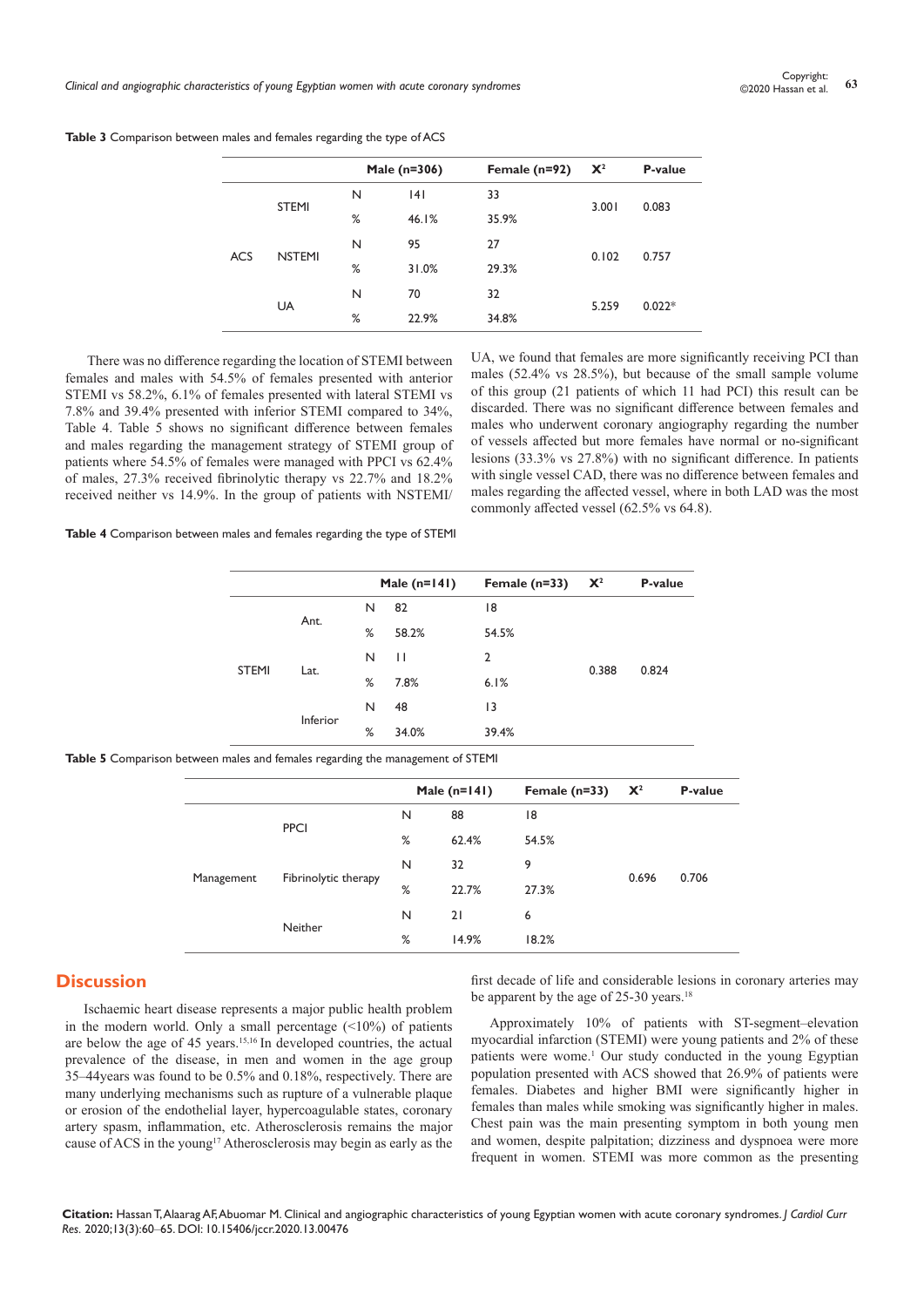Copyright:<br>Clinical and angiographic characteristics of young Egyptian women with acute coronary syndromes **63** Copyright: 63

|            |               |                                      | Male (n=306) | Female $(n=92)$ | $\mathbf{X}^2$ | P-value |
|------------|---------------|--------------------------------------|--------------|-----------------|----------------|---------|
|            |               | N                                    | 4            | 33              |                |         |
|            | <b>STEMI</b>  | %                                    | 46.1%        | 35.9%           | 3.001          | 0.083   |
|            |               | N                                    | 95           | 27              |                |         |
| <b>ACS</b> | <b>NSTEMI</b> | %                                    | 31.0%        | 29.3%           | 0.102          | 0.757   |
|            |               | N<br>70<br>32<br>%<br>22.9%<br>34.8% |              |                 |                |         |
|            | <b>UA</b>     |                                      |              | 5.259           | $0.022*$       |         |
|            |               |                                      |              |                 |                |         |

**Table 3** Comparison between males and females regarding the type of ACS

There was no difference regarding the location of STEMI between females and males with 54.5% of females presented with anterior STEMI vs 58.2%, 6.1% of females presented with lateral STEMI vs 7.8% and 39.4% presented with inferior STEMI compared to 34%, Table 4. Table 5 shows no significant difference between females and males regarding the management strategy of STEMI group of patients where 54.5% of females were managed with PPCI vs 62.4% of males, 27.3% received fibrinolytic therapy vs 22.7% and 18.2% received neither vs 14.9%. In the group of patients with NSTEMI/

UA, we found that females are more significantly receiving PCI than males (52.4% vs 28.5%), but because of the small sample volume of this group (21 patients of which 11 had PCI) this result can be discarded. There was no significant difference between females and males who underwent coronary angiography regarding the number of vessels affected but more females have normal or no-significant lesions (33.3% vs 27.8%) with no significant difference. In patients with single vessel CAD, there was no difference between females and males regarding the affected vessel, where in both LAD was the most commonly affected vessel (62.5% vs 64.8).

**Table 4** Comparison between males and females regarding the type of STEMI

|              |          |   | Male $(n=141)$ | Female $(n=33)$ | $\mathbf{X}^2$ | P-value |
|--------------|----------|---|----------------|-----------------|----------------|---------|
|              |          | N | 82             | 18              |                |         |
| <b>STEMI</b> | Ant.     | % | 58.2%          | 54.5%           | 0.388          |         |
|              |          | N | $\mathbf{H}$   | $\overline{2}$  |                |         |
|              | Lat.     | % | 7.8%           | 6.1%            |                | 0.824   |
|              |          | N | 48             | 13              |                |         |
|              | Inferior | % | 34.0%          | 39.4%           |                |         |
|              |          |   |                |                 |                |         |

**Table 5** Comparison between males and females regarding the management of STEMI

|            |                      |   | Male $(n=141)$ | Female $(n=33)$ | $\mathbf{X}^2$ | P-value |
|------------|----------------------|---|----------------|-----------------|----------------|---------|
|            | <b>PPCI</b>          | N | 88             | 18              |                | 0.706   |
| Management |                      | % | 62.4%          | 54.5%           | 0.696          |         |
|            | Fibrinolytic therapy | N | 32             | 9               |                |         |
|            |                      | % | 22.7%          | 27.3%           |                |         |
|            |                      | N | 21             | 6               |                |         |
|            | Neither              | % | 14.9%          | 18.2%           |                |         |
|            |                      |   |                |                 |                |         |

## **Discussion**

Ischaemic heart disease represents a major public health problem in the modern world. Only a small percentage  $(\leq 10\%)$  of patients are below the age of 45 years.15,16 In developed countries, the actual prevalence of the disease, in men and women in the age group 35–44years was found to be 0.5% and 0.18%, respectively. There are many underlying mechanisms such as rupture of a vulnerable plaque or erosion of the endothelial layer, hypercoagulable states, coronary artery spasm, inflammation, etc. Atherosclerosis remains the major cause of ACS in the young<sup>17</sup> Atherosclerosis may begin as early as the

first decade of life and considerable lesions in coronary arteries may be apparent by the age of  $25-30$  years.<sup>18</sup>

Approximately 10% of patients with ST-segment–elevation myocardial infarction (STEMI) were young patients and 2% of these patients were wome.<sup>1</sup> Our study conducted in the young Egyptian population presented with ACS showed that 26.9% of patients were females. Diabetes and higher BMI were significantly higher in females than males while smoking was significantly higher in males. Chest pain was the main presenting symptom in both young men and women, despite palpitation; dizziness and dyspnoea were more frequent in women. STEMI was more common as the presenting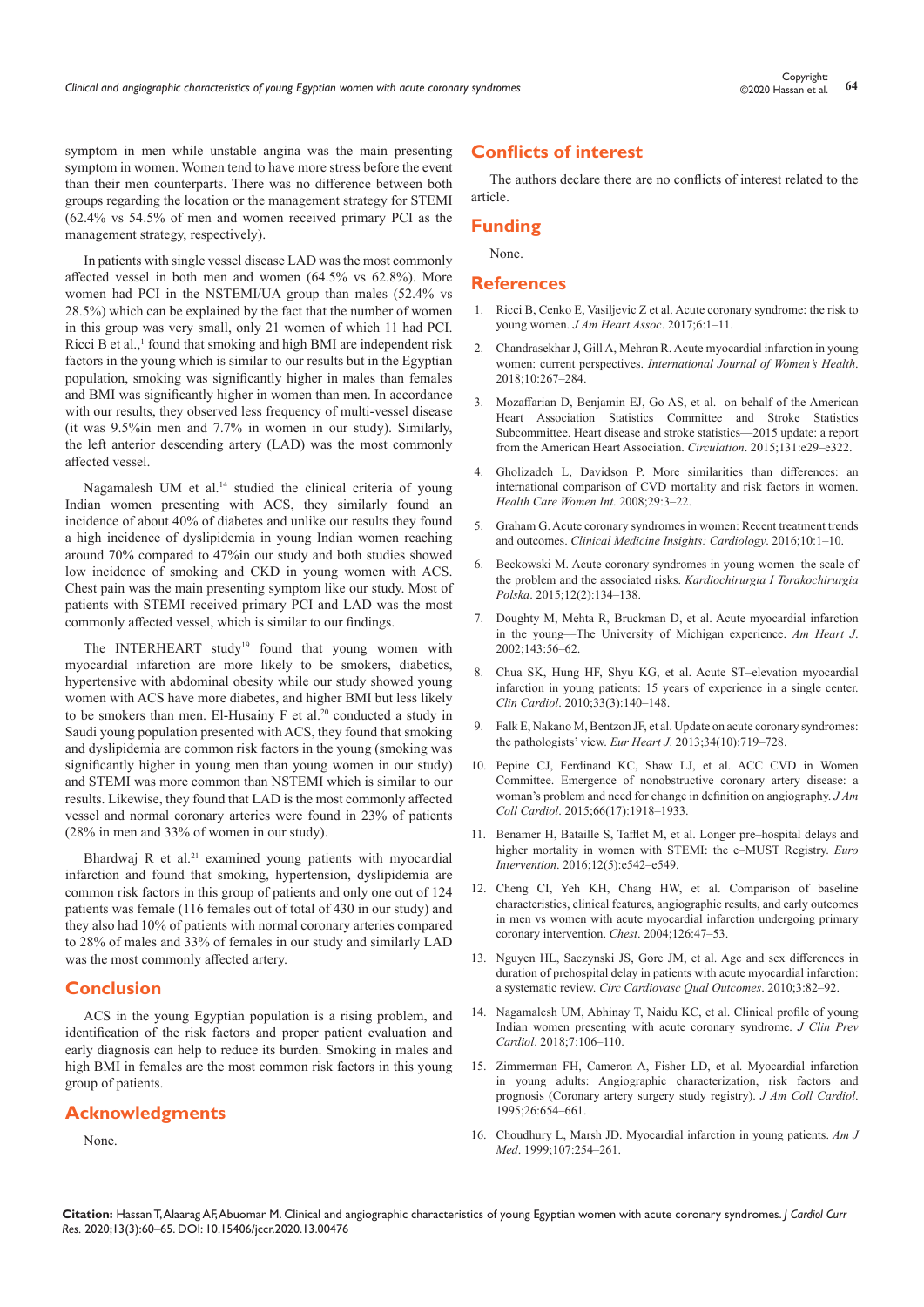symptom in men while unstable angina was the main presenting symptom in women. Women tend to have more stress before the event than their men counterparts. There was no difference between both groups regarding the location or the management strategy for STEMI (62.4% vs 54.5% of men and women received primary PCI as the management strategy, respectively).

In patients with single vessel disease LAD was the most commonly affected vessel in both men and women (64.5% vs 62.8%). More women had PCI in the NSTEMI/UA group than males (52.4% vs 28.5%) which can be explained by the fact that the number of women in this group was very small, only 21 women of which 11 had PCI. Ricci B et al.,<sup>1</sup> found that smoking and high BMI are independent risk factors in the young which is similar to our results but in the Egyptian population, smoking was significantly higher in males than females and BMI was significantly higher in women than men. In accordance with our results, they observed less frequency of multi-vessel disease (it was 9.5%in men and 7.7% in women in our study). Similarly, the left anterior descending artery (LAD) was the most commonly affected vessel.

Nagamalesh UM et al.<sup>14</sup> studied the clinical criteria of young Indian women presenting with ACS, they similarly found an incidence of about 40% of diabetes and unlike our results they found a high incidence of dyslipidemia in young Indian women reaching around 70% compared to 47%in our study and both studies showed low incidence of smoking and CKD in young women with ACS. Chest pain was the main presenting symptom like our study. Most of patients with STEMI received primary PCI and LAD was the most commonly affected vessel, which is similar to our findings.

The INTERHEART study<sup>19</sup> found that young women with myocardial infarction are more likely to be smokers, diabetics, hypertensive with abdominal obesity while our study showed young women with ACS have more diabetes, and higher BMI but less likely to be smokers than men. El-Husainy F et al.<sup>20</sup> conducted a study in Saudi young population presented with ACS, they found that smoking and dyslipidemia are common risk factors in the young (smoking was significantly higher in young men than young women in our study) and STEMI was more common than NSTEMI which is similar to our results. Likewise, they found that LAD is the most commonly affected vessel and normal coronary arteries were found in 23% of patients (28% in men and 33% of women in our study).

Bhardwaj R et al.<sup>21</sup> examined young patients with myocardial infarction and found that smoking, hypertension, dyslipidemia are common risk factors in this group of patients and only one out of 124 patients was female (116 females out of total of 430 in our study) and they also had 10% of patients with normal coronary arteries compared to 28% of males and 33% of females in our study and similarly LAD was the most commonly affected artery.

## **Conclusion**

ACS in the young Egyptian population is a rising problem, and identification of the risk factors and proper patient evaluation and early diagnosis can help to reduce its burden. Smoking in males and high BMI in females are the most common risk factors in this young group of patients.

## **Acknowledgments**

None.

## **Conflicts of interest**

The authors declare there are no conflicts of interest related to the article.

## **Funding**

None.

## **References**

- 1. [Ricci B, Cenko E, Vasiljevic Z et al. Acute coronary syndrome: the risk to](https://www.ncbi.nlm.nih.gov/pubmed/29273636)  young women. *[J Am Heart Assoc](https://www.ncbi.nlm.nih.gov/pubmed/29273636)*. 2017;6:1–11.
- 2. [Chandrasekhar J, Gill A, Mehran R. Acute myocardial infarction in young](https://www.dovepress.com/acute-myocardial-infarction-in-young-women-current-perspectives-peer-reviewed-fulltext-article-IJWH)  women: current perspectives. *[International Journal of Women's Health](https://www.dovepress.com/acute-myocardial-infarction-in-young-women-current-perspectives-peer-reviewed-fulltext-article-IJWH)*. [2018;10:267–284.](https://www.dovepress.com/acute-myocardial-infarction-in-young-women-current-perspectives-peer-reviewed-fulltext-article-IJWH)
- 3. [Mozaffarian D, Benjamin EJ, Go AS, et al. on behalf of the American](https://www.ncbi.nlm.nih.gov/pubmed/30700139)  [Heart Association Statistics Committee and Stroke Statistics](https://www.ncbi.nlm.nih.gov/pubmed/30700139)  [Subcommittee. Heart disease and stroke statistics—2015 update: a report](https://www.ncbi.nlm.nih.gov/pubmed/30700139)  [from the American Heart Association.](https://www.ncbi.nlm.nih.gov/pubmed/30700139) *Circulation*. 2015;131:e29–e322.
- 4. [Gholizadeh L, Davidson P. More similarities than differences: an](https://www.ncbi.nlm.nih.gov/pubmed/18176877)  [international comparison of CVD mortality and risk factors in women.](https://www.ncbi.nlm.nih.gov/pubmed/18176877)  *[Health Care Women Int](https://www.ncbi.nlm.nih.gov/pubmed/18176877)*. 2008;29:3–22.
- 5. [Graham G. Acute coronary syndromes in women: Recent treatment trends](https://journals.sagepub.com/doi/10.4137/CMC.S37145)  and outcomes. *[Clinical Medicine Insights: Cardiology](https://journals.sagepub.com/doi/10.4137/CMC.S37145)*. 2016;10:1–10.
- 6. [Beckowski M. Acute coronary syndromes in young women–the scale of](https://www.ncbi.nlm.nih.gov/pmc/articles/PMC4550022/)  [the problem and the associated risks.](https://www.ncbi.nlm.nih.gov/pmc/articles/PMC4550022/) *Kardiochirurgia I Torakochirurgia Polska*[. 2015;12\(2\):134–138.](https://www.ncbi.nlm.nih.gov/pmc/articles/PMC4550022/)
- 7. [Doughty M, Mehta R, Bruckman D, et al. Acute myocardial infarction](https://www.sciencedirect.com/science/article/abs/pii/S0002870302688362)  [in the young––The University of Michigan experience.](https://www.sciencedirect.com/science/article/abs/pii/S0002870302688362) *Am Heart J*. [2002;143:56–62.](https://www.sciencedirect.com/science/article/abs/pii/S0002870302688362)
- 8. [Chua SK, Hung HF, Shyu KG, et al. Acute ST–elevation myocardial](https://onlinelibrary.wiley.com/doi/abs/10.1002/clc.20718)  [infarction in young patients: 15 years of experience in a single center.](https://onlinelibrary.wiley.com/doi/abs/10.1002/clc.20718)  *Clin Cardiol*[. 2010;33\(3\):140–148.](https://onlinelibrary.wiley.com/doi/abs/10.1002/clc.20718)
- 9. [Falk E, Nakano M, Bentzon JF, et al. Update on acute coronary syndromes:](https://www.ncbi.nlm.nih.gov/pubmed/23242196)  the pathologists' view. *Eur Heart J*[. 2013;34\(10\):719–728.](https://www.ncbi.nlm.nih.gov/pubmed/23242196)
- 10. [Pepine CJ, Ferdinand KC, Shaw LJ, et al. ACC CVD in Women](https://www.sciencedirect.com/science/article/pii/S0735109715060647)  [Committee. Emergence of nonobstructive coronary artery disease: a](https://www.sciencedirect.com/science/article/pii/S0735109715060647)  [woman's problem and need for change in definition on angiography.](https://www.sciencedirect.com/science/article/pii/S0735109715060647) *J Am Coll Cardiol*[. 2015;66\(17\):1918–1933.](https://www.sciencedirect.com/science/article/pii/S0735109715060647)
- 11. [Benamer H, Bataille S, Tafflet M, et al. Longer pre–hospital delays and](https://eurointervention.pcronline.com/article/longer-pre-hospital-delays-and-higher-mortality-in-women-with-stemi-the-e-must-registry)  [higher mortality in women with STEMI: the e–MUST Registry.](https://eurointervention.pcronline.com/article/longer-pre-hospital-delays-and-higher-mortality-in-women-with-stemi-the-e-must-registry) *Euro Intervention*[. 2016;12\(5\):e542–e549.](https://eurointervention.pcronline.com/article/longer-pre-hospital-delays-and-higher-mortality-in-women-with-stemi-the-e-must-registry)
- 12. [Cheng CI, Yeh KH, Chang HW, et al. Comparison of baseline](https://www.sciencedirect.com/science/article/abs/pii/S0012369215328932)  [characteristics, clinical features, angiographic results, and early outcomes](https://www.sciencedirect.com/science/article/abs/pii/S0012369215328932)  [in men vs women with acute myocardial infarction undergoing primary](https://www.sciencedirect.com/science/article/abs/pii/S0012369215328932)  [coronary intervention.](https://www.sciencedirect.com/science/article/abs/pii/S0012369215328932) *Chest*. 2004;126:47–53.
- 13. [Nguyen HL, Saczynski JS, Gore JM, et al. Age and sex differences in](https://www.ncbi.nlm.nih.gov/pmc/articles/PMC3072277/https:/www.sciencedirect.com/science/article/abs/pii/S0012369215328932)  [duration of prehospital delay in patients with acute myocardial infarction:](https://www.ncbi.nlm.nih.gov/pmc/articles/PMC3072277/https:/www.sciencedirect.com/science/article/abs/pii/S0012369215328932)  a systematic review. *[Circ Cardiovasc Qual Outcomes](https://www.ncbi.nlm.nih.gov/pmc/articles/PMC3072277/https:/www.sciencedirect.com/science/article/abs/pii/S0012369215328932)*. 2010;3:82–92.
- 14. [Nagamalesh UM, Abhinay T, Naidu KC, et al. Clinical profile of young](http://jmsh.ac.in/index.php?option=com_k2&view=item&id=37:clinical-profile-of-acute-coronary-syndrome-in-young-adults&Itemid=1)  [Indian women presenting with acute coronary syndrome.](http://jmsh.ac.in/index.php?option=com_k2&view=item&id=37:clinical-profile-of-acute-coronary-syndrome-in-young-adults&Itemid=1) *J Clin Prev Cardiol*[. 2018;7:106–110.](http://jmsh.ac.in/index.php?option=com_k2&view=item&id=37:clinical-profile-of-acute-coronary-syndrome-in-young-adults&Itemid=1)
- 15. [Zimmerman FH, Cameron A, Fisher LD, et al. Myocardial infarction](https://www.sciencedirect.com/science/article/pii/0735109795002542)  [in young adults: Angiographic characterization, risk factors and](https://www.sciencedirect.com/science/article/pii/0735109795002542)  [prognosis \(Coronary artery surgery study registry\).](https://www.sciencedirect.com/science/article/pii/0735109795002542) *J Am Coll Cardiol*. [1995;26:654–661.](https://www.sciencedirect.com/science/article/pii/0735109795002542)
- 16. [Choudhury L, Marsh JD. Myocardial infarction in young patients.](https://www.amjmed.com/article/S0002-9343(99)00218-1/pdf) *Am J Med*[. 1999;107:254–261.](https://www.amjmed.com/article/S0002-9343(99)00218-1/pdf)

**Citation:** Hassan T, Alaarag AF, Abuomar M. Clinical and angiographic characteristics of young Egyptian women with acute coronary syndromes. *J Cardiol Curr Res.* 2020;13(3):60‒65. DOI: [10.15406/jccr.2020.13.00476](https://doi.org/10.15406/jccr.2020.13.00476)